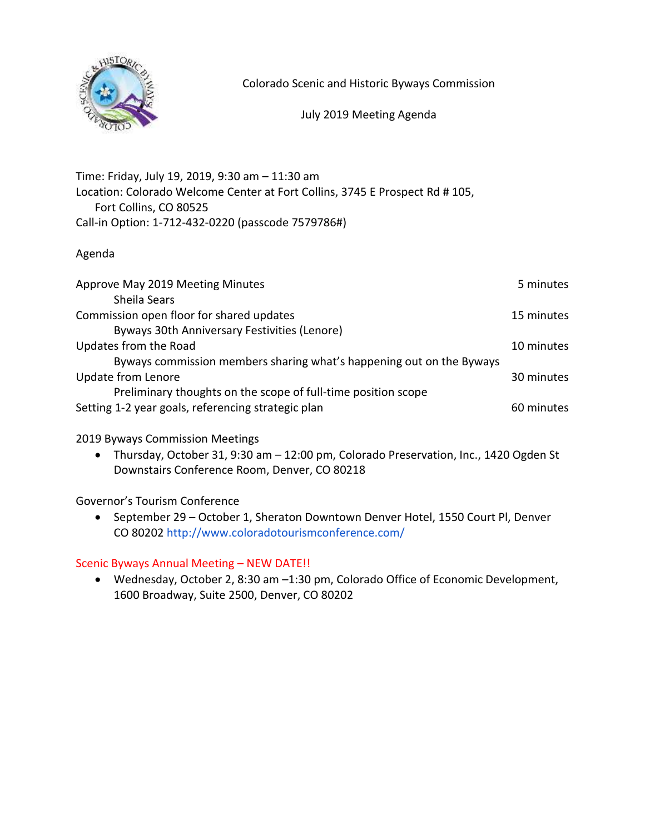

Colorado Scenic and Historic Byways Commission

July 2019 Meeting Agenda

Time: Friday, July 19, 2019, 9:30 am – 11:30 am Location: Colorado Welcome Center at Fort Collins, 3745 E Prospect Rd # 105, Fort Collins, CO 80525 Call-in Option: 1-712-432-0220 (passcode 7579786#)

# Agenda

| Approve May 2019 Meeting Minutes                                     | 5 minutes  |
|----------------------------------------------------------------------|------------|
| Sheila Sears                                                         |            |
| Commission open floor for shared updates                             | 15 minutes |
| Byways 30th Anniversary Festivities (Lenore)                         |            |
| Updates from the Road                                                | 10 minutes |
| Byways commission members sharing what's happening out on the Byways |            |
| Update from Lenore                                                   | 30 minutes |
| Preliminary thoughts on the scope of full-time position scope        |            |
| Setting 1-2 year goals, referencing strategic plan                   | 60 minutes |

2019 Byways Commission Meetings

• Thursday, October 31, 9:30 am – 12:00 pm, Colorado Preservation, Inc., 1420 Ogden St Downstairs Conference Room, Denver, CO 80218

Governor's Tourism Conference

• September 29 – October 1, Sheraton Downtown Denver Hotel, 1550 Court Pl, Denver CO 80202 http://www.coloradotourismconference.com/

# Scenic Byways Annual Meeting – NEW DATE!!

• Wednesday, October 2, 8:30 am –1:30 pm, Colorado Office of Economic Development, 1600 Broadway, Suite 2500, Denver, CO 80202